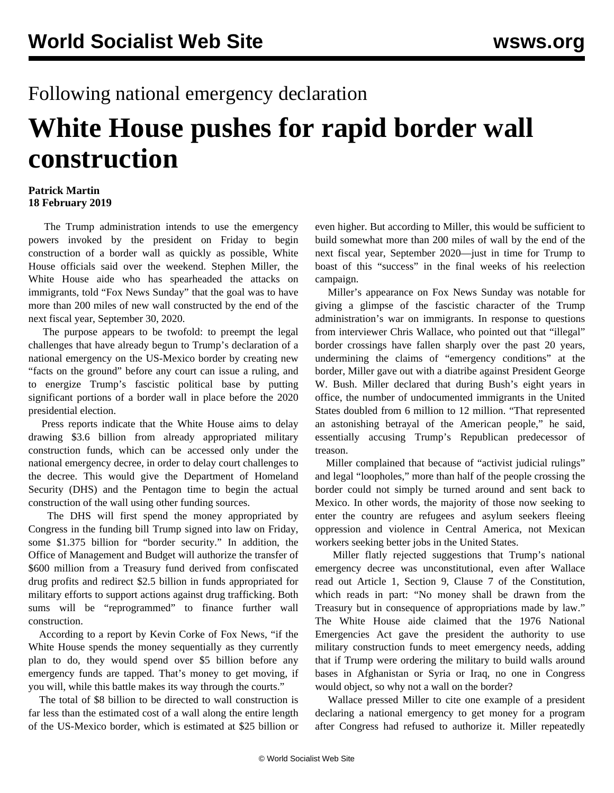## Following national emergency declaration

## **White House pushes for rapid border wall construction**

## **Patrick Martin 18 February 2019**

 The Trump administration intends to use the emergency powers invoked by the president on Friday to begin construction of a border wall as quickly as possible, White House officials said over the weekend. Stephen Miller, the White House aide who has spearheaded the attacks on immigrants, told "Fox News Sunday" that the goal was to have more than 200 miles of new wall constructed by the end of the next fiscal year, September 30, 2020.

 The purpose appears to be twofold: to preempt the legal challenges that have already begun to Trump's declaration of a national emergency on the US-Mexico border by creating new "facts on the ground" before any court can issue a ruling, and to energize Trump's fascistic political base by putting significant portions of a border wall in place before the 2020 presidential election.

 Press reports indicate that the White House aims to delay drawing \$3.6 billion from already appropriated military construction funds, which can be accessed only under the national emergency decree, in order to delay court challenges to the decree. This would give the Department of Homeland Security (DHS) and the Pentagon time to begin the actual construction of the wall using other funding sources.

 The DHS will first spend the money appropriated by Congress in the funding bill Trump signed into law on Friday, some \$1.375 billion for "border security." In addition, the Office of Management and Budget will authorize the transfer of \$600 million from a Treasury fund derived from confiscated drug profits and redirect \$2.5 billion in funds appropriated for military efforts to support actions against drug trafficking. Both sums will be "reprogrammed" to finance further wall construction.

 According to a report by Kevin Corke of Fox News, "if the White House spends the money sequentially as they currently plan to do, they would spend over \$5 billion before any emergency funds are tapped. That's money to get moving, if you will, while this battle makes its way through the courts."

 The total of \$8 billion to be directed to wall construction is far less than the estimated cost of a wall along the entire length of the US-Mexico border, which is estimated at \$25 billion or even higher. But according to Miller, this would be sufficient to build somewhat more than 200 miles of wall by the end of the next fiscal year, September 2020—just in time for Trump to boast of this "success" in the final weeks of his reelection campaign.

 Miller's appearance on Fox News Sunday was notable for giving a glimpse of the fascistic character of the Trump administration's war on immigrants. In response to questions from interviewer Chris Wallace, who pointed out that "illegal" border crossings have fallen sharply over the past 20 years, undermining the claims of "emergency conditions" at the border, Miller gave out with a diatribe against President George W. Bush. Miller declared that during Bush's eight years in office, the number of undocumented immigrants in the United States doubled from 6 million to 12 million. "That represented an astonishing betrayal of the American people," he said, essentially accusing Trump's Republican predecessor of treason.

 Miller complained that because of "activist judicial rulings" and legal "loopholes," more than half of the people crossing the border could not simply be turned around and sent back to Mexico. In other words, the majority of those now seeking to enter the country are refugees and asylum seekers fleeing oppression and violence in Central America, not Mexican workers seeking better jobs in the United States.

 Miller flatly rejected suggestions that Trump's national emergency decree was unconstitutional, even after Wallace read out Article 1, Section 9, Clause 7 of the Constitution, which reads in part: "No money shall be drawn from the Treasury but in consequence of appropriations made by law." The White House aide claimed that the 1976 National Emergencies Act gave the president the authority to use military construction funds to meet emergency needs, adding that if Trump were ordering the military to build walls around bases in Afghanistan or Syria or Iraq, no one in Congress would object, so why not a wall on the border?

 Wallace pressed Miller to cite one example of a president declaring a national emergency to get money for a program after Congress had refused to authorize it. Miller repeatedly